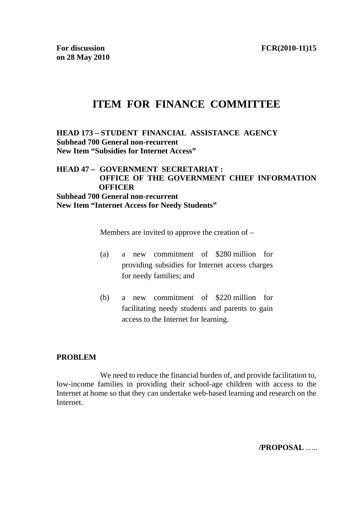# **ITEM FOR FINANCE COMMITTEE**

### **HEAD 173 – STUDENT FINANCIAL ASSISTANCE AGENCY Subhead 700 General non-recurrent New Item "Subsidies for Internet Access"**

# **HEAD 47 – GOVERNMENT SECRETARIAT : OFFICE OF THE GOVERNMENT CHIEF INFORMATION OFFICER Subhead 700 General non-recurrent New Item "Internet Access for Needy Students"**

Members are invited to approve the creation of –

- (a) a new commitment of \$280 million for providing subsidies for Internet access charges for needy families; and
- (b) a new commitment of \$220 million for facilitating needy students and parents to gain access to the Internet for learning.

### **PROBLEM**

We need to reduce the financial burden of, and provide facilitation to, low-income families in providing their school-age children with access to the Internet at home so that they can undertake web-based learning and research on the **Internet** 

**/PROPOSAL** …..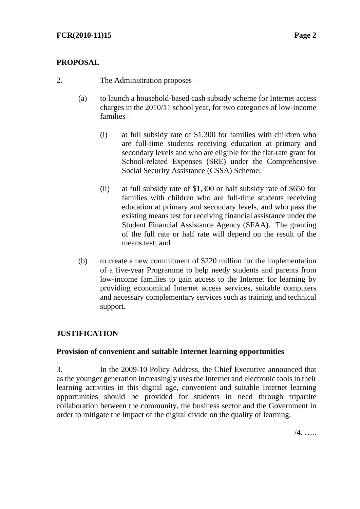# **PROPOSAL**

- 2. The Administration proposes
	- (a) to launch a household-based cash subsidy scheme for Internet access charges in the 2010/11 school year, for two categories of low-income families –
		- (i) at full subsidy rate of \$1,300 for families with children who are full-time students receiving education at primary and secondary levels and who are eligible for the flat-rate grant for School-related Expenses (SRE) under the Comprehensive Social Security Assistance (CSSA) Scheme;
		- (ii) at full subsidy rate of \$1,300 or half subsidy rate of \$650 for families with children who are full-time students receiving education at primary and secondary levels, and who pass the existing means test for receiving financial assistance under the Student Financial Assistance Agency (SFAA). The granting of the full rate or half rate will depend on the result of the means test; and
	- (b) to create a new commitment of \$220 million for the implementation of a five-year Programme to help needy students and parents from low-income families to gain access to the Internet for learning by providing economical Internet access services, suitable computers and necessary complementary services such as training and technical support.

# **JUSTIFICATION**

### **Provision of convenient and suitable Internet learning opportunities**

3. In the 2009-10 Policy Address, the Chief Executive announced that as the younger generation increasingly uses the Internet and electronic tools in their learning activities in this digital age, convenient and suitable Internet learning opportunities should be provided for students in need through tripartite collaboration between the community, the business sector and the Government in order to mitigate the impact of the digital divide on the quality of learning.

/4. …..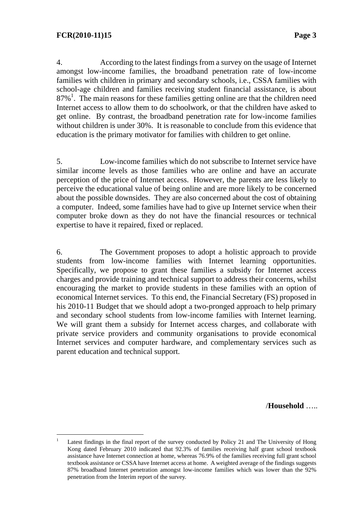4. According to the latest findings from a survey on the usage of Internet amongst low-income families, the broadband penetration rate of low-income families with children in primary and secondary schools, i.e., CSSA families with school-age children and families receiving student financial assistance, is about 87%<sup>1</sup>. The main reasons for these families getting online are that the children need Internet access to allow them to do schoolwork, or that the children have asked to get online. By contrast, the broadband penetration rate for low-income families without children is under 30%. It is reasonable to conclude from this evidence that education is the primary motivator for families with children to get online.

5. Low-income families which do not subscribe to Internet service have similar income levels as those families who are online and have an accurate perception of the price of Internet access. However, the parents are less likely to perceive the educational value of being online and are more likely to be concerned about the possible downsides. They are also concerned about the cost of obtaining a computer. Indeed, some families have had to give up Internet service when their computer broke down as they do not have the financial resources or technical expertise to have it repaired, fixed or replaced.

6. The Government proposes to adopt a holistic approach to provide students from low-income families with Internet learning opportunities. Specifically, we propose to grant these families a subsidy for Internet access charges and provide training and technical support to address their concerns, whilst encouraging the market to provide students in these families with an option of economical Internet services. To this end, the Financial Secretary (FS) proposed in his 2010-11 Budget that we should adopt a two-pronged approach to help primary and secondary school students from low-income families with Internet learning. We will grant them a subsidy for Internet access charges, and collaborate with private service providers and community organisations to provide economical Internet services and computer hardware, and complementary services such as parent education and technical support.

/**Household** …..

 $\frac{1}{1}$  Latest findings in the final report of the survey conducted by Policy 21 and The University of Hong Kong dated February 2010 indicated that 92.3% of families receiving half grant school textbook assistance have Internet connection at home, whereas 76.9% of the families receiving full grant school textbook assistance or CSSA have Internet access at home. A weighted average of the findings suggests 87% broadband Internet penetration amongst low-income families which was lower than the 92% penetration from the Interim report of the survey.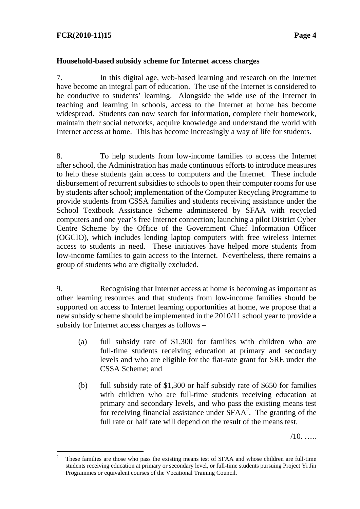# **FCR(2010-11)15 Page 4**

#### **Household-based subsidy scheme for Internet access charges**

7. In this digital age, web-based learning and research on the Internet have become an integral part of education. The use of the Internet is considered to be conducive to students' learning. Alongside the wide use of the Internet in teaching and learning in schools, access to the Internet at home has become widespread. Students can now search for information, complete their homework, maintain their social networks, acquire knowledge and understand the world with Internet access at home. This has become increasingly a way of life for students.

8. To help students from low-income families to access the Internet after school, the Administration has made continuous efforts to introduce measures to help these students gain access to computers and the Internet. These include disbursement of recurrent subsidies to schools to open their computer rooms for use by students after school; implementation of the Computer Recycling Programme to provide students from CSSA families and students receiving assistance under the School Textbook Assistance Scheme administered by SFAA with recycled computers and one year's free Internet connection; launching a pilot District Cyber Centre Scheme by the Office of the Government Chief Information Officer (OGCIO), which includes lending laptop computers with free wireless Internet access to students in need. These initiatives have helped more students from low-income families to gain access to the Internet. Nevertheless, there remains a group of students who are digitally excluded.

9. Recognising that Internet access at home is becoming as important as other learning resources and that students from low-income families should be supported on access to Internet learning opportunities at home, we propose that a new subsidy scheme should be implemented in the 2010/11 school year to provide a subsidy for Internet access charges as follows –

- (a) full subsidy rate of \$1,300 for families with children who are full-time students receiving education at primary and secondary levels and who are eligible for the flat-rate grant for SRE under the CSSA Scheme; and
- (b) full subsidy rate of \$1,300 or half subsidy rate of \$650 for families with children who are full-time students receiving education at primary and secondary levels, and who pass the existing means test for receiving financial assistance under  $\overline{SFAA}^2$ . The granting of the full rate or half rate will depend on the result of the means test.

 $/10$ .  $\ldots$ 

 $\frac{1}{2}$  These families are those who pass the existing means test of SFAA and whose children are full-time students receiving education at primary or secondary level, or full-time students pursuing Project Yi Jin Programmes or equivalent courses of the Vocational Training Council.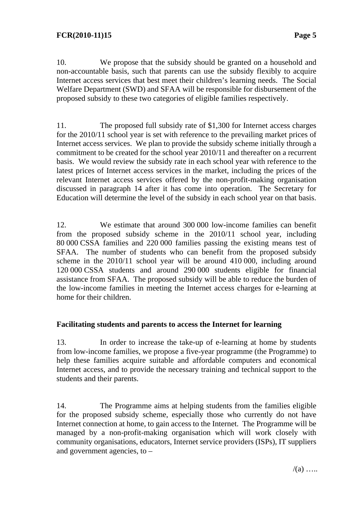10. We propose that the subsidy should be granted on a household and non-accountable basis, such that parents can use the subsidy flexibly to acquire Internet access services that best meet their children's learning needs. The Social Welfare Department (SWD) and SFAA will be responsible for disbursement of the proposed subsidy to these two categories of eligible families respectively.

11. The proposed full subsidy rate of \$1,300 for Internet access charges for the 2010/11 school year is set with reference to the prevailing market prices of Internet access services. We plan to provide the subsidy scheme initially through a commitment to be created for the school year 2010/11 and thereafter on a recurrent basis. We would review the subsidy rate in each school year with reference to the latest prices of Internet access services in the market, including the prices of the relevant Internet access services offered by the non-profit-making organisation discussed in paragraph 14 after it has come into operation. The Secretary for Education will determine the level of the subsidy in each school year on that basis.

12. We estimate that around 300 000 low-income families can benefit from the proposed subsidy scheme in the 2010/11 school year, including 80 000 CSSA families and 220 000 families passing the existing means test of SFAA. The number of students who can benefit from the proposed subsidy scheme in the 2010/11 school year will be around 410 000, including around 120 000 CSSA students and around 290 000 students eligible for financial assistance from SFAA. The proposed subsidy will be able to reduce the burden of the low-income families in meeting the Internet access charges for e-learning at home for their children.

### **Facilitating students and parents to access the Internet for learning**

13. In order to increase the take-up of e-learning at home by students from low-income families, we propose a five-year programme (the Programme) to help these families acquire suitable and affordable computers and economical Internet access, and to provide the necessary training and technical support to the students and their parents.

14. The Programme aims at helping students from the families eligible for the proposed subsidy scheme, especially those who currently do not have Internet connection at home, to gain access to the Internet. The Programme will be managed by a non-profit-making organisation which will work closely with community organisations, educators, Internet service providers (ISPs), IT suppliers and government agencies, to –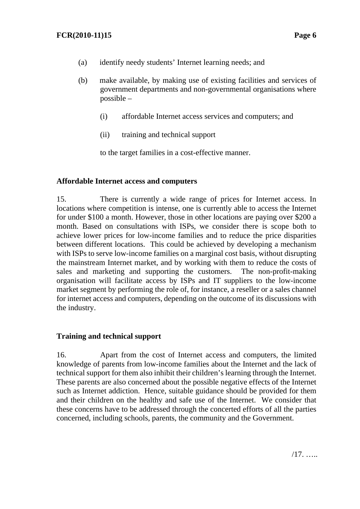- (a) identify needy students' Internet learning needs; and
- (b) make available, by making use of existing facilities and services of government departments and non-governmental organisations where possible –
	- (i) affordable Internet access services and computers; and
	- (ii) training and technical support

to the target families in a cost-effective manner.

### **Affordable Internet access and computers**

15. There is currently a wide range of prices for Internet access. In locations where competition is intense, one is currently able to access the Internet for under \$100 a month. However, those in other locations are paying over \$200 a month. Based on consultations with ISPs, we consider there is scope both to achieve lower prices for low-income families and to reduce the price disparities between different locations. This could be achieved by developing a mechanism with ISPs to serve low-income families on a marginal cost basis, without disrupting the mainstream Internet market, and by working with them to reduce the costs of sales and marketing and supporting the customers. The non-profit-making organisation will facilitate access by ISPs and IT suppliers to the low-income market segment by performing the role of, for instance, a reseller or a sales channel for internet access and computers, depending on the outcome of its discussions with the industry.

### **Training and technical support**

16. Apart from the cost of Internet access and computers, the limited knowledge of parents from low-income families about the Internet and the lack of technical support for them also inhibit their children's learning through the Internet. These parents are also concerned about the possible negative effects of the Internet such as Internet addiction. Hence, suitable guidance should be provided for them and their children on the healthy and safe use of the Internet. We consider that these concerns have to be addressed through the concerted efforts of all the parties concerned, including schools, parents, the community and the Government.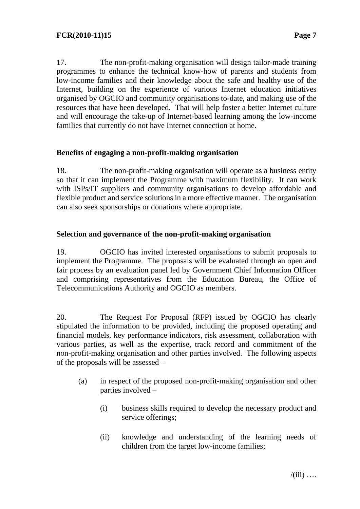17. The non-profit-making organisation will design tailor-made training programmes to enhance the technical know-how of parents and students from low-income families and their knowledge about the safe and healthy use of the Internet, building on the experience of various Internet education initiatives organised by OGCIO and community organisations to-date, and making use of the resources that have been developed. That will help foster a better Internet culture and will encourage the take-up of Internet-based learning among the low-income families that currently do not have Internet connection at home.

### **Benefits of engaging a non-profit-making organisation**

18. The non-profit-making organisation will operate as a business entity so that it can implement the Programme with maximum flexibility. It can work with ISPs/IT suppliers and community organisations to develop affordable and flexible product and service solutions in a more effective manner. The organisation can also seek sponsorships or donations where appropriate.

# **Selection and governance of the non-profit-making organisation**

19. OGCIO has invited interested organisations to submit proposals to implement the Programme. The proposals will be evaluated through an open and fair process by an evaluation panel led by Government Chief Information Officer and comprising representatives from the Education Bureau, the Office of Telecommunications Authority and OGCIO as members.

20. The Request For Proposal (RFP) issued by OGCIO has clearly stipulated the information to be provided, including the proposed operating and financial models, key performance indicators, risk assessment, collaboration with various parties, as well as the expertise, track record and commitment of the non-profit-making organisation and other parties involved. The following aspects of the proposals will be assessed –

- (a) in respect of the proposed non-profit-making organisation and other parties involved –
	- (i) business skills required to develop the necessary product and service offerings;
	- (ii) knowledge and understanding of the learning needs of children from the target low-income families;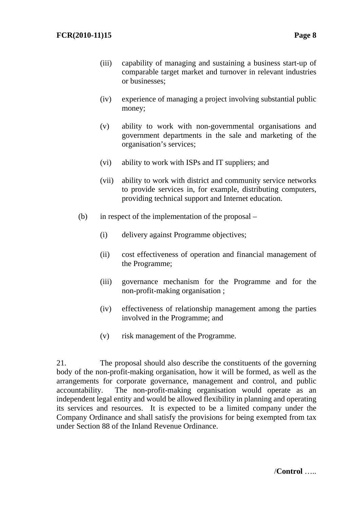- (iii) capability of managing and sustaining a business start-up of comparable target market and turnover in relevant industries or businesses;
- (iv) experience of managing a project involving substantial public money;
- (v) ability to work with non-governmental organisations and government departments in the sale and marketing of the organisation's services;
- (vi) ability to work with ISPs and IT suppliers; and
- (vii) ability to work with district and community service networks to provide services in, for example, distributing computers, providing technical support and Internet education.
- (b) in respect of the implementation of the proposal
	- (i) delivery against Programme objectives;
	- (ii) cost effectiveness of operation and financial management of the Programme;
	- (iii) governance mechanism for the Programme and for the non-profit-making organisation ;
	- (iv) effectiveness of relationship management among the parties involved in the Programme; and
	- (v) risk management of the Programme.

21. The proposal should also describe the constituents of the governing body of the non-profit-making organisation, how it will be formed, as well as the arrangements for corporate governance, management and control, and public accountability. The non-profit-making organisation would operate as an independent legal entity and would be allowed flexibility in planning and operating its services and resources. It is expected to be a limited company under the Company Ordinance and shall satisfy the provisions for being exempted from tax under Section 88 of the Inland Revenue Ordinance.

/**Control** …..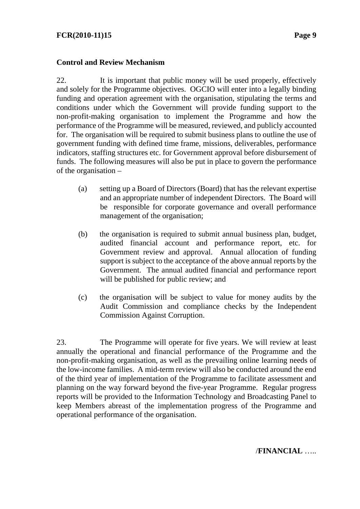# **Control and Review Mechanism**

22. It is important that public money will be used properly, effectively and solely for the Programme objectives. OGCIO will enter into a legally binding funding and operation agreement with the organisation, stipulating the terms and conditions under which the Government will provide funding support to the non-profit-making organisation to implement the Programme and how the performance of the Programme will be measured, reviewed, and publicly accounted for. The organisation will be required to submit business plans to outline the use of government funding with defined time frame, missions, deliverables, performance indicators, staffing structures etc. for Government approval before disbursement of funds. The following measures will also be put in place to govern the performance of the organisation –

- (a) setting up a Board of Directors (Board) that has the relevant expertise and an appropriate number of independent Directors. The Board will be responsible for corporate governance and overall performance management of the organisation;
- (b) the organisation is required to submit annual business plan, budget, audited financial account and performance report, etc. for Government review and approval. Annual allocation of funding support is subject to the acceptance of the above annual reports by the Government. The annual audited financial and performance report will be published for public review; and
- (c) the organisation will be subject to value for money audits by the Audit Commission and compliance checks by the Independent Commission Against Corruption.

23. The Programme will operate for five years. We will review at least annually the operational and financial performance of the Programme and the non-profit-making organisation, as well as the prevailing online learning needs of the low-income families. A mid-term review will also be conducted around the end of the third year of implementation of the Programme to facilitate assessment and planning on the way forward beyond the five-year Programme. Regular progress reports will be provided to the Information Technology and Broadcasting Panel to keep Members abreast of the implementation progress of the Programme and operational performance of the organisation.

/**FINANCIAL** …..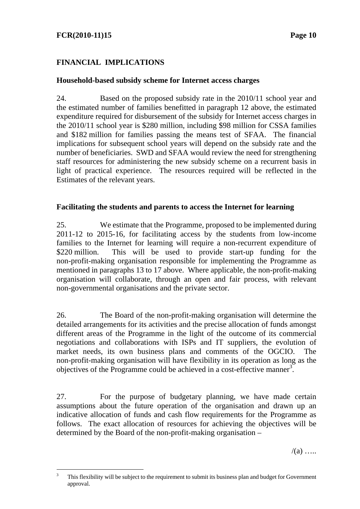# **FCR(2010-11)15** Page 10

# **FINANCIAL IMPLICATIONS**

#### **Household-based subsidy scheme for Internet access charges**

24. Based on the proposed subsidy rate in the 2010/11 school year and the estimated number of families benefitted in paragraph 12 above, the estimated expenditure required for disbursement of the subsidy for Internet access charges in the 2010/11 school year is \$280 million, including \$98 million for CSSA families and \$182 million for families passing the means test of SFAA. The financial implications for subsequent school years will depend on the subsidy rate and the number of beneficiaries. SWD and SFAA would review the need for strengthening staff resources for administering the new subsidy scheme on a recurrent basis in light of practical experience. The resources required will be reflected in the Estimates of the relevant years.

#### **Facilitating the students and parents to access the Internet for learning**

25. We estimate that the Programme, proposed to be implemented during 2011-12 to 2015-16, for facilitating access by the students from low-income families to the Internet for learning will require a non-recurrent expenditure of \$220 million. This will be used to provide start-up funding for the non-profit-making organisation responsible for implementing the Programme as mentioned in paragraphs 13 to 17 above. Where applicable, the non-profit-making organisation will collaborate, through an open and fair process, with relevant non-governmental organisations and the private sector.

26. The Board of the non-profit-making organisation will determine the detailed arrangements for its activities and the precise allocation of funds amongst different areas of the Programme in the light of the outcome of its commercial negotiations and collaborations with ISPs and IT suppliers, the evolution of market needs, its own business plans and comments of the OGCIO. The non-profit-making organisation will have flexibility in its operation as long as the objectives of the Programme could be achieved in a cost-effective manner<sup>3</sup>.

27. For the purpose of budgetary planning, we have made certain assumptions about the future operation of the organisation and drawn up an indicative allocation of funds and cash flow requirements for the Programme as follows. The exact allocation of resources for achieving the objectives will be determined by the Board of the non-profit-making organisation –

 $/(a)$  …

 $\frac{1}{3}$  This flexibility will be subject to the requirement to submit its business plan and budget for Government approval.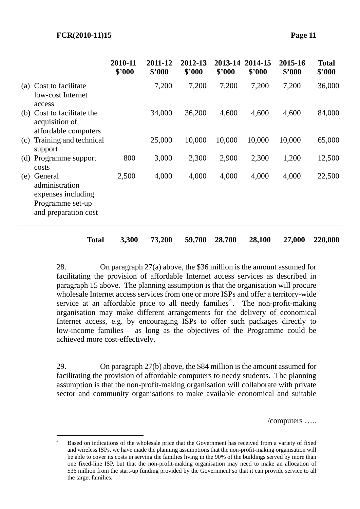$\overline{a}$ 

|  | $\overline{10}$ and $\overline{11}$ and $\overline{17}$ and $\overline{17}$ is |  |
|--|--------------------------------------------------------------------------------|--|
|  |                                                                                |  |
|  |                                                                                |  |
|  |                                                                                |  |
|  |                                                                                |  |
|  |                                                                                |  |
|  |                                                                                |  |
|  |                                                                                |  |

|     |                                                                                             | 2010-11<br>\$'000 | 2011-12<br>\$'000 | 2012-13<br>\$'000 | 2013-14<br>\$'000 | 2014-15<br>\$'000 | 2015-16<br>\$'000 | <b>Total</b><br>\$'000 |
|-----|---------------------------------------------------------------------------------------------|-------------------|-------------------|-------------------|-------------------|-------------------|-------------------|------------------------|
| (a) | Cost to facilitate<br>low-cost Internet<br>access                                           |                   | 7,200             | 7,200             | 7,200             | 7,200             | 7,200             | 36,000                 |
|     | (b) Cost to facilitate the<br>acquisition of<br>affordable computers                        |                   | 34,000            | 36,200            | 4,600             | 4,600             | 4,600             | 84,000                 |
| (c) | Training and technical<br>support                                                           |                   | 25,000            | 10,000            | 10,000            | 10,000            | 10,000            | 65,000                 |
|     | (d) Programme support<br>costs                                                              | 800               | 3,000             | 2,300             | 2,900             | 2,300             | 1,200             | 12,500                 |
| (e) | General<br>administration<br>expenses including<br>Programme set-up<br>and preparation cost | 2,500             | 4,000             | 4,000             | 4,000             | 4,000             | 4,000             | 22,500                 |
|     | <b>Total</b>                                                                                | 3,300             | 73,200            | 59,700            | 28,700            | 28,100            | 27,000            | 220,000                |

28. On paragraph 27(a) above, the \$36 million is the amount assumed for facilitating the provision of affordable Internet access services as described in paragraph 15 above. The planning assumption is that the organisation will procure wholesale Internet access services from one or more ISPs and offer a territory-wide service at an affordable price to all needy families<sup>4</sup>. The non-profit-making organisation may make different arrangements for the delivery of economical Internet access, e.g. by encouraging ISPs to offer such packages directly to low-income families – as long as the objectives of the Programme could be achieved more cost-effectively.

29. On paragraph 27(b) above, the \$84 million is the amount assumed for facilitating the provision of affordable computers to needy students. The planning assumption is that the non-profit-making organisation will collaborate with private sector and community organisations to make available economical and suitable

/computers …..

<sup>4</sup> Based on indications of the wholesale price that the Government has received from a variety of fixed and wireless ISPs, we have made the planning assumptions that the non-profit-making organisation will be able to cover its costs in serving the families living in the 90% of the buildings served by more than one fixed-line ISP, but that the non-profit-making organisation may need to make an allocation of \$36 million from the start-up funding provided by the Government so that it can provide service to all the target families.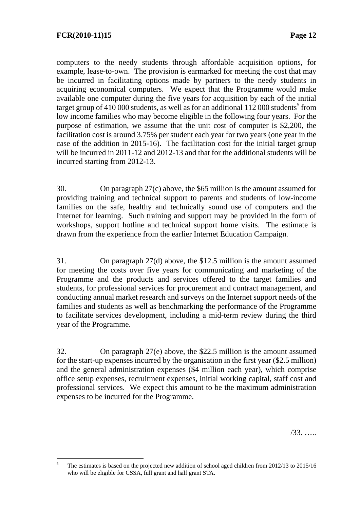computers to the needy students through affordable acquisition options, for example, lease-to-own. The provision is earmarked for meeting the cost that may be incurred in facilitating options made by partners to the needy students in acquiring economical computers. We expect that the Programme would make available one computer during the five years for acquisition by each of the initial target group of 410 000 students, as well as for an additional  $112\,000$  students<sup>5</sup> from low income families who may become eligible in the following four years. For the purpose of estimation, we assume that the unit cost of computer is \$2,200, the facilitation cost is around 3.75% per student each year for two years (one year in the case of the addition in 2015-16). The facilitation cost for the initial target group will be incurred in 2011-12 and 2012-13 and that for the additional students will be incurred starting from 2012-13.

30. On paragraph 27(c) above, the \$65 million is the amount assumed for providing training and technical support to parents and students of low-income families on the safe, healthy and technically sound use of computers and the Internet for learning. Such training and support may be provided in the form of workshops, support hotline and technical support home visits. The estimate is drawn from the experience from the earlier Internet Education Campaign.

31. On paragraph 27(d) above, the \$12.5 million is the amount assumed for meeting the costs over five years for communicating and marketing of the Programme and the products and services offered to the target families and students, for professional services for procurement and contract management, and conducting annual market research and surveys on the Internet support needs of the families and students as well as benchmarking the performance of the Programme to facilitate services development, including a mid-term review during the third year of the Programme.

32. On paragraph 27(e) above, the \$22.5 million is the amount assumed for the start-up expenses incurred by the organisation in the first year (\$2.5 million) and the general administration expenses (\$4 million each year), which comprise office setup expenses, recruitment expenses, initial working capital, staff cost and professional services. We expect this amount to be the maximum administration expenses to be incurred for the Programme.

/33. …..

 $\frac{1}{5}$  The estimates is based on the projected new addition of school aged children from 2012/13 to 2015/16 who will be eligible for CSSA, full grant and half grant STA.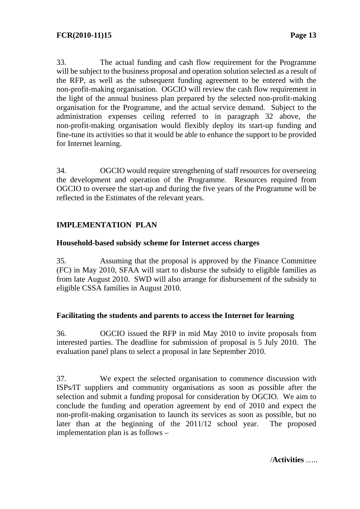33. The actual funding and cash flow requirement for the Programme will be subject to the business proposal and operation solution selected as a result of the RFP, as well as the subsequent funding agreement to be entered with the non-profit-making organisation. OGCIO will review the cash flow requirement in the light of the annual business plan prepared by the selected non-profit-making organisation for the Programme, and the actual service demand. Subject to the administration expenses ceiling referred to in paragraph 32 above, the non-profit-making organisation would flexibly deploy its start-up funding and fine-tune its activities so that it would be able to enhance the support to be provided for Internet learning.

34. OGCIO would require strengthening of staff resources for overseeing the development and operation of the Programme. Resources required from OGCIO to oversee the start-up and during the five years of the Programme will be reflected in the Estimates of the relevant years.

# **IMPLEMENTATION PLAN**

#### **Household-based subsidy scheme for Internet access charges**

35. Assuming that the proposal is approved by the Finance Committee (FC) in May 2010, SFAA will start to disburse the subsidy to eligible families as from late August 2010. SWD will also arrange for disbursement of the subsidy to eligible CSSA families in August 2010.

### **Facilitating the students and parents to access the Internet for learning**

36. OGCIO issued the RFP in mid May 2010 to invite proposals from interested parties. The deadline for submission of proposal is 5 July 2010. The evaluation panel plans to select a proposal in late September 2010.

37. We expect the selected organisation to commence discussion with ISPs/IT suppliers and community organisations as soon as possible after the selection and submit a funding proposal for consideration by OGCIO. We aim to conclude the funding and operation agreement by end of 2010 and expect the non-profit-making organisation to launch its services as soon as possible, but no later than at the beginning of the 2011/12 school year. The proposed implementation plan is as follows –

/**Activities** …..